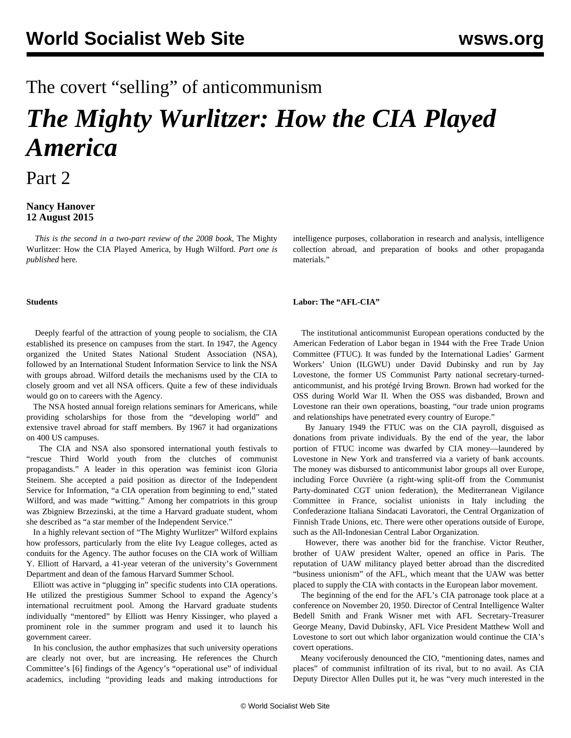## The covert "selling" of anticommunism

# *The Mighty Wurlitzer: How the CIA Played America*

Part 2

#### **Nancy Hanover 12 August 2015**

 *This is the second in a two-part review of the 2008 book,* The Mighty Wurlitzer: How the CIA Played America, by Hugh Wilford. *Part one is published* [here](/en/articles/2015/08/11/wur1-a11.html)*.*

#### **Students**

 Deeply fearful of the attraction of young people to socialism, the CIA established its presence on campuses from the start. In 1947, the Agency organized the United States National Student Association (NSA), followed by an International Student Information Service to link the NSA with groups abroad. Wilford details the mechanisms used by the CIA to closely groom and vet all NSA officers. Quite a few of these individuals would go on to careers with the Agency.

 The NSA hosted annual foreign relations seminars for Americans, while providing scholarships for those from the "developing world" and extensive travel abroad for staff members. By 1967 it had organizations on 400 US campuses.

 The CIA and NSA also sponsored international youth festivals to "rescue Third World youth from the clutches of communist propagandists." A leader in this operation was feminist icon Gloria Steinem. She accepted a paid position as director of the Independent Service for Information, "a CIA operation from beginning to end," stated Wilford, and was made "witting." Among her compatriots in this group was Zbigniew Brzezinski, at the time a Harvard graduate student, whom she described as "a star member of the Independent Service."

 In a highly relevant section of "The Mighty Wurlitzer" Wilford explains how professors, particularly from the elite Ivy League colleges, acted as conduits for the Agency. The author focuses on the CIA work of William Y. Elliott of Harvard, a 41-year veteran of the university's Government Department and dean of the famous Harvard Summer School.

 Elliott was active in "plugging in" specific students into CIA operations. He utilized the prestigious Summer School to expand the Agency's international recruitment pool. Among the Harvard graduate students individually "mentored" by Elliott was Henry Kissinger, who played a prominent role in the summer program and used it to launch his government career.

 In his conclusion, the author emphasizes that such university operations are clearly not over, but are increasing. He references the Church Committee's [6] findings of the Agency's "operational use" of individual academics, including "providing leads and making introductions for

intelligence purposes, collaboration in research and analysis, intelligence collection abroad, and preparation of books and other propaganda materials."

#### **Labor: The "AFL-CIA"**

 The institutional anticommunist European operations conducted by the American Federation of Labor began in 1944 with the Free Trade Union Committee (FTUC). It was funded by the International Ladies' Garment Workers' Union (ILGWU) under David Dubinsky and run by Jay Lovestone, the former US Communist Party national secretary-turnedanticommunist, and his protégé Irving Brown. Brown had worked for the OSS during World War II. When the OSS was disbanded, Brown and Lovestone ran their own operations, boasting, "our trade union programs and relationships have penetrated every country of Europe."

 By January 1949 the FTUC was on the CIA payroll, disguised as donations from private individuals. By the end of the year, the labor portion of FTUC income was dwarfed by CIA money—laundered by Lovestone in New York and transferred via a variety of bank accounts. The money was disbursed to anticommunist labor groups all over Europe, including Force Ouvrière (a right-wing split-off from the Communist Party-dominated CGT union federation), the Mediterranean Vigilance Committee in France, socialist unionists in Italy including the Confederazione Italiana Sindacati Lavoratori, the Central Organization of Finnish Trade Unions, etc. There were other operations outside of Europe, such as the All-Indonesian Central Labor Organization.

 However, there was another bid for the franchise. Victor Reuther, brother of UAW president Walter, opened an office in Paris. The reputation of UAW militancy played better abroad than the discredited "business unionism" of the AFL, which meant that the UAW was better placed to supply the CIA with contacts in the European labor movement.

 The beginning of the end for the AFL's CIA patronage took place at a conference on November 20, 1950. Director of Central Intelligence Walter Bedell Smith and Frank Wisner met with AFL Secretary-Treasurer George Meany, David Dubinsky, AFL Vice President Matthew Woll and Lovestone to sort out which labor organization would continue the CIA's covert operations.

 Meany vociferously denounced the CIO, "mentioning dates, names and places" of communist infiltration of its rival, but to no avail. As CIA Deputy Director Allen Dulles put it, he was "very much interested in the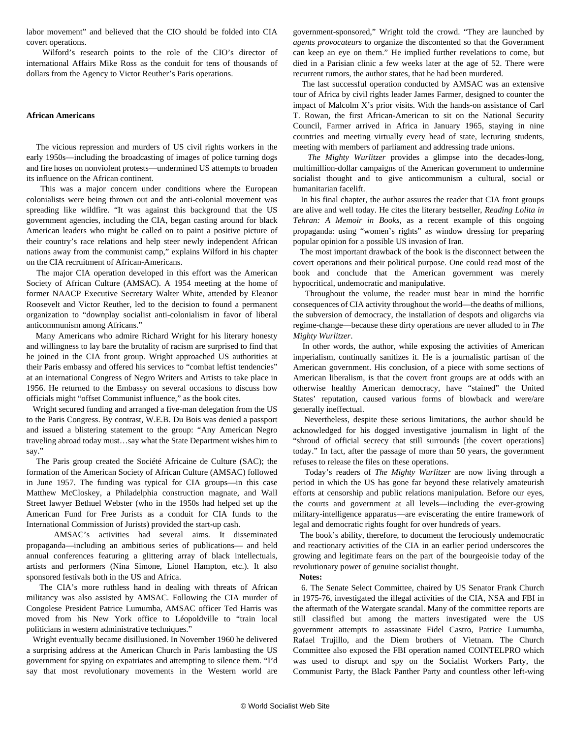labor movement" and believed that the CIO should be folded into CIA covert operations.

 Wilford's research points to the role of the CIO's director of international Affairs Mike Ross as the conduit for tens of thousands of dollars from the Agency to Victor Reuther's Paris operations.

#### **African Americans**

 The vicious repression and murders of US civil rights workers in the early 1950s—including the broadcasting of images of police turning dogs and fire hoses on nonviolent protests—undermined US attempts to broaden its influence on the African continent.

 This was a major concern under conditions where the European colonialists were being thrown out and the anti-colonial movement was spreading like wildfire. "It was against this background that the US government agencies, including the CIA, began casting around for black American leaders who might be called on to paint a positive picture of their country's race relations and help steer newly independent African nations away from the communist camp," explains Wilford in his chapter on the CIA recruitment of African-Americans.

 The major CIA operation developed in this effort was the American Society of African Culture (AMSAC). A 1954 meeting at the home of former NAACP Executive Secretary Walter White, attended by Eleanor Roosevelt and Victor Reuther, led to the decision to found a permanent organization to "downplay socialist anti-colonialism in favor of liberal anticommunism among Africans."

 Many Americans who admire Richard Wright for his literary honesty and willingness to lay bare the brutality of racism are surprised to find that he joined in the CIA front group. Wright approached US authorities at their Paris embassy and offered his services to "combat leftist tendencies" at an international Congress of Negro Writers and Artists to take place in 1956. He returned to the Embassy on several occasions to discuss how officials might "offset Communist influence," as the book cites.

 Wright secured funding and arranged a five-man delegation from the US to the Paris Congress. By contrast, W.E.B. Du Bois was denied a passport and issued a blistering statement to the group: "Any American Negro traveling abroad today must…say what the State Department wishes him to say."

 The Paris group created the Société Africaine de Culture (SAC); the formation of the American Society of African Culture (AMSAC) followed in June 1957. The funding was typical for CIA groups—in this case Matthew McCloskey, a Philadelphia construction magnate, and Wall Street lawyer Bethuel Webster (who in the 1950s had helped set up the American Fund for Free Jurists as a conduit for CIA funds to the International Commission of Jurists) provided the start-up cash.

 AMSAC's activities had several aims. It disseminated propaganda—including an ambitious series of publications— and held annual conferences featuring a glittering array of black intellectuals, artists and performers (Nina Simone, Lionel Hampton, etc.). It also sponsored festivals both in the US and Africa.

 The CIA's more ruthless hand in dealing with threats of African militancy was also assisted by AMSAC. Following the CIA murder of Congolese President Patrice Lumumba, AMSAC officer Ted Harris was moved from his New York office to Léopoldville to "train local politicians in western administrative techniques."

 Wright eventually became disillusioned. In November 1960 he delivered a surprising address at the American Church in Paris lambasting the US government for spying on expatriates and attempting to silence them. "I'd say that most revolutionary movements in the Western world are

government-sponsored," Wright told the crowd. "They are launched by *agents provocateurs* to organize the discontented so that the Government can keep an eye on them." He implied further revelations to come, but died in a Parisian clinic a few weeks later at the age of 52. There were recurrent rumors, the author states, that he had been murdered.

 The last successful operation conducted by AMSAC was an extensive tour of Africa by civil rights leader James Farmer, designed to counter the impact of Malcolm X's prior visits. With the hands-on assistance of Carl T. Rowan, the first African-American to sit on the National Security Council, Farmer arrived in Africa in January 1965, staying in nine countries and meeting virtually every head of state, lecturing students, meeting with members of parliament and addressing trade unions.

 *The Mighty Wurlitzer* provides a glimpse into the decades-long, multimillion-dollar campaigns of the American government to undermine socialist thought and to give anticommunism a cultural, social or humanitarian facelift.

 In his final chapter, the author assures the reader that CIA front groups are alive and well today. He cites the literary bestseller, *Reading Lolita in Tehran: A Memoir in Books*, as a recent example of this ongoing propaganda: using "women's rights" as window dressing for preparing popular opinion for a possible US invasion of Iran.

 The most important drawback of the book is the disconnect between the covert operations and their political purpose. One could read most of the book and conclude that the American government was merely hypocritical, undemocratic and manipulative.

 Throughout the volume, the reader must bear in mind the horrific consequences of CIA activity throughout the world—the deaths of millions, the subversion of democracy, the installation of despots and oligarchs via regime-change—because these dirty operations are never alluded to in *The Mighty Wurlitzer*.

 In other words, the author, while exposing the activities of American imperialism, continually sanitizes it. He is a journalistic partisan of the American government. His conclusion, of a piece with some sections of American liberalism, is that the covert front groups are at odds with an otherwise healthy American democracy, have "stained" the United States' reputation, caused various forms of blowback and were/are generally ineffectual.

 Nevertheless, despite these serious limitations, the author should be acknowledged for his dogged investigative journalism in light of the "shroud of official secrecy that still surrounds [the covert operations] today." In fact, after the passage of more than 50 years, the government refuses to release the files on these operations.

 Today's readers of *The Mighty Wurlitzer* are now living through a period in which the US has gone far beyond these relatively amateurish efforts at censorship and public relations manipulation. Before our eyes, the courts and government at all levels—including the ever-growing military-intelligence apparatus—are eviscerating the entire framework of legal and democratic rights fought for over hundreds of years.

 The book's ability, therefore, to document the ferociously undemocratic and reactionary activities of the CIA in an earlier period underscores the growing and legitimate fears on the part of the bourgeoisie today of the revolutionary power of genuine socialist thought.

**Notes:**

 6. The Senate Select Committee, chaired by US Senator Frank Church in 1975-76, investigated the illegal activities of the CIA, NSA and FBI in the aftermath of the Watergate scandal. Many of the committee reports are still classified but among the matters investigated were the US government attempts to assassinate Fidel Castro, Patrice Lumumba, Rafael Trujillo, and the Diem brothers of Vietnam. The Church Committee also exposed the FBI operation named COINTELPRO which was used to disrupt and spy on the Socialist Workers Party, the Communist Party, the Black Panther Party and countless other left-wing